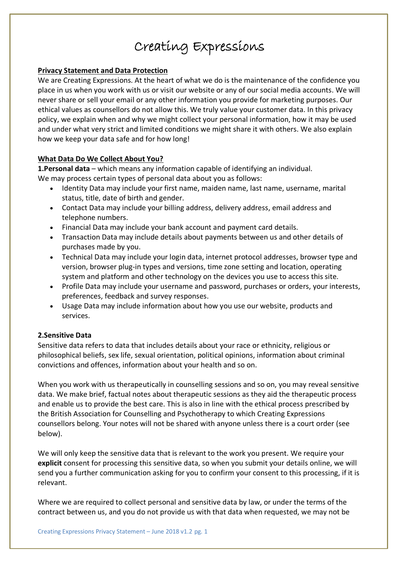# Creating Expressions

## **Privacy Statement and Data Protection**

We are Creating Expressions. At the heart of what we do is the maintenance of the confidence you place in us when you work with us or visit our website or any of our social media accounts. We will never share or sell your email or any other information you provide for marketing purposes. Our ethical values as counsellors do not allow this. We truly value your customer data. In this privacy policy, we explain when and why we might collect your personal information, how it may be used and under what very strict and limited conditions we might share it with others. We also explain how we keep your data safe and for how long!

## **What Data Do We Collect About You?**

**1.Personal data** – which means any information capable of identifying an individual. We may process certain types of personal data about you as follows:

- Identity Data may include your first name, maiden name, last name, username, marital status, title, date of birth and gender.
- Contact Data may include your billing address, delivery address, email address and telephone numbers.
- Financial Data may include your bank account and payment card details.
- Transaction Data may include details about payments between us and other details of purchases made by you.
- Technical Data may include your login data, internet protocol addresses, browser type and version, browser plug-in types and versions, time zone setting and location, operating system and platform and other technology on the devices you use to access this site.
- Profile Data may include your username and password, purchases or orders, your interests, preferences, feedback and survey responses.
- Usage Data may include information about how you use our website, products and services.

## **2.Sensitive Data**

Sensitive data refers to data that includes details about your race or ethnicity, religious or philosophical beliefs, sex life, sexual orientation, political opinions, information about criminal convictions and offences, information about your health and so on.

When you work with us therapeutically in counselling sessions and so on, you may reveal sensitive data. We make brief, factual notes about therapeutic sessions as they aid the therapeutic process and enable us to provide the best care. This is also in line with the ethical process prescribed by the British Association for Counselling and Psychotherapy to which Creating Expressions counsellors belong. Your notes will not be shared with anyone unless there is a court order (see below).

We will only keep the sensitive data that is relevant to the work you present. We require your **explicit** consent for processing this sensitive data, so when you submit your details online, we will send you a further communication asking for you to confirm your consent to this processing, if it is relevant.

Where we are required to collect personal and sensitive data by law, or under the terms of the contract between us, and you do not provide us with that data when requested, we may not be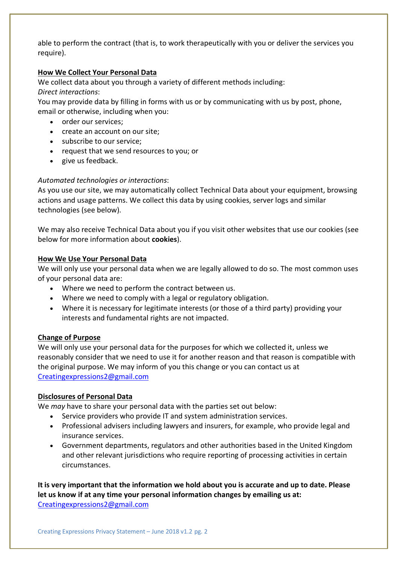able to perform the contract (that is, to work therapeutically with you or deliver the services you require).

## **How We Collect Your Personal Data**

We collect data about you through a variety of different methods including:

## *Direct interactions*:

You may provide data by filling in forms with us or by communicating with us by post, phone, email or otherwise, including when you:

- order our services;
- create an account on our site;
- subscribe to our service;
- request that we send resources to you; or
- give us feedback.

# *Automated technologies or interactions*:

As you use our site, we may automatically collect Technical Data about your equipment, browsing actions and usage patterns. We collect this data by using cookies, server logs and similar technologies (see below).

We may also receive Technical Data about you if you visit other websites that use our cookies (see below for more information about **cookies**).

## **How We Use Your Personal Data**

We will only use your personal data when we are legally allowed to do so. The most common uses of your personal data are:

- Where we need to perform the contract between us.
- Where we need to comply with a legal or regulatory obligation.
- Where it is necessary for legitimate interests (or those of a third party) providing your interests and fundamental rights are not impacted.

# **Change of Purpose**

We will only use your personal data for the purposes for which we collected it, unless we reasonably consider that we need to use it for another reason and that reason is compatible with the original purpose. We may inform of you this change or you can contact us at Creatingexpressions2@gmail.com

# **Disclosures of Personal Data**

We *may* have to share your personal data with the parties set out below:

- Service providers who provide IT and system administration services.
- Professional advisers including lawyers and insurers, for example, who provide legal and insurance services.
- Government departments, regulators and other authorities based in the United Kingdom and other relevant jurisdictions who require reporting of processing activities in certain circumstances.

**It is very important that the information we hold about you is accurate and up to date. Please let us know if at any time your personal information changes by emailing us at:** Creatingexpressions2@gmail.com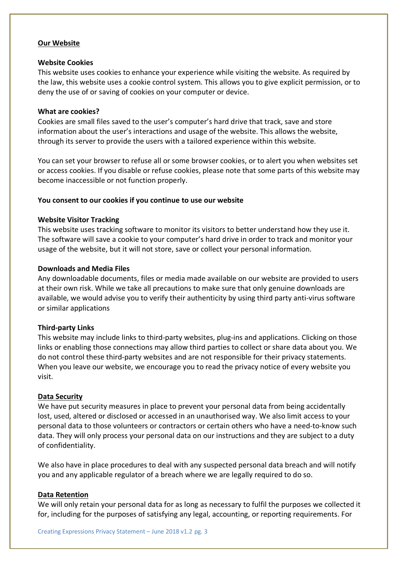#### **Our Website**

#### **Website Cookies**

This website uses cookies to enhance your experience while visiting the website. As required by the law, this website uses a cookie control system. This allows you to give explicit permission, or to deny the use of or saving of cookies on your computer or device.

#### **What are cookies?**

Cookies are small files saved to the user's computer's hard drive that track, save and store information about the user's interactions and usage of the website. This allows the website, through its server to provide the users with a tailored experience within this website.

You can set your browser to refuse all or some browser cookies, or to alert you when websites set or access cookies. If you disable or refuse cookies, please note that some parts of this website may become inaccessible or not function properly.

## **You consent to our cookies if you continue to use our website**

## **Website Visitor Tracking**

This website uses tracking software to monitor its visitors to better understand how they use it. The software will save a cookie to your computer's hard drive in order to track and monitor your usage of the website, but it will not store, save or collect your personal information.

#### **Downloads and Media Files**

Any downloadable documents, files or media made available on our website are provided to users at their own risk. While we take all precautions to make sure that only genuine downloads are available, we would advise you to verify their authenticity by using third party anti-virus software or similar applications

## **Third-party Links**

This website may include links to third-party websites, plug-ins and applications. Clicking on those links or enabling those connections may allow third parties to collect or share data about you. We do not control these third-party websites and are not responsible for their privacy statements. When you leave our website, we encourage you to read the privacy notice of every website you visit.

#### **Data Security**

We have put security measures in place to prevent your personal data from being accidentally lost, used, altered or disclosed or accessed in an unauthorised way. We also limit access to your personal data to those volunteers or contractors or certain others who have a need-to-know such data. They will only process your personal data on our instructions and they are subject to a duty of confidentiality.

We also have in place procedures to deal with any suspected personal data breach and will notify you and any applicable regulator of a breach where we are legally required to do so.

#### **Data Retention**

We will only retain your personal data for as long as necessary to fulfil the purposes we collected it for, including for the purposes of satisfying any legal, accounting, or reporting requirements. For

Creating Expressions Privacy Statement – June 2018 v1.2 pg. 3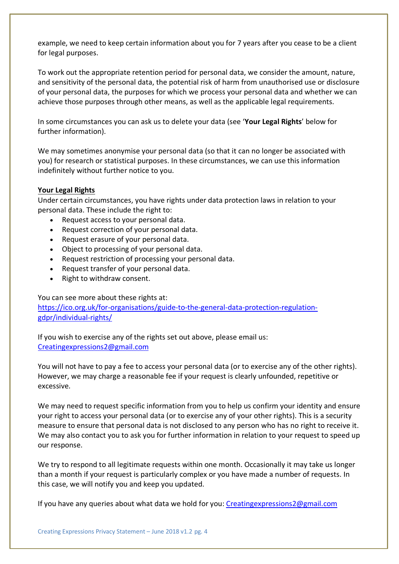example, we need to keep certain information about you for 7 years after you cease to be a client for legal purposes.

To work out the appropriate retention period for personal data, we consider the amount, nature, and sensitivity of the personal data, the potential risk of harm from unauthorised use or disclosure of your personal data, the purposes for which we process your personal data and whether we can achieve those purposes through other means, as well as the applicable legal requirements.

In some circumstances you can ask us to delete your data (see '**Your Legal Rights**' below for further information).

We may sometimes anonymise your personal data (so that it can no longer be associated with you) for research or statistical purposes. In these circumstances, we can use this information indefinitely without further notice to you.

## **Your Legal Rights**

Under certain circumstances, you have rights under data protection laws in relation to your personal data. These include the right to:

- Request access to your personal data.
- Request correction of your personal data.
- Request erasure of your personal data.
- Object to processing of your personal data.
- Request restriction of processing your personal data.
- Request transfer of your personal data.
- Right to withdraw consent.

#### You can see more about these rights at:

https://ico.org.uk/for-organisations/guide-to-the-general-data-protection-regulationgdpr/individual-rights/

If you wish to exercise any of the rights set out above, please email us: Creatingexpressions2@gmail.com

You will not have to pay a fee to access your personal data (or to exercise any of the other rights). However, we may charge a reasonable fee if your request is clearly unfounded, repetitive or excessive.

We may need to request specific information from you to help us confirm your identity and ensure your right to access your personal data (or to exercise any of your other rights). This is a security measure to ensure that personal data is not disclosed to any person who has no right to receive it. We may also contact you to ask you for further information in relation to your request to speed up our response.

We try to respond to all legitimate requests within one month. Occasionally it may take us longer than a month if your request is particularly complex or you have made a number of requests. In this case, we will notify you and keep you updated.

If you have any queries about what data we hold for you: Creatingexpressions2@gmail.com